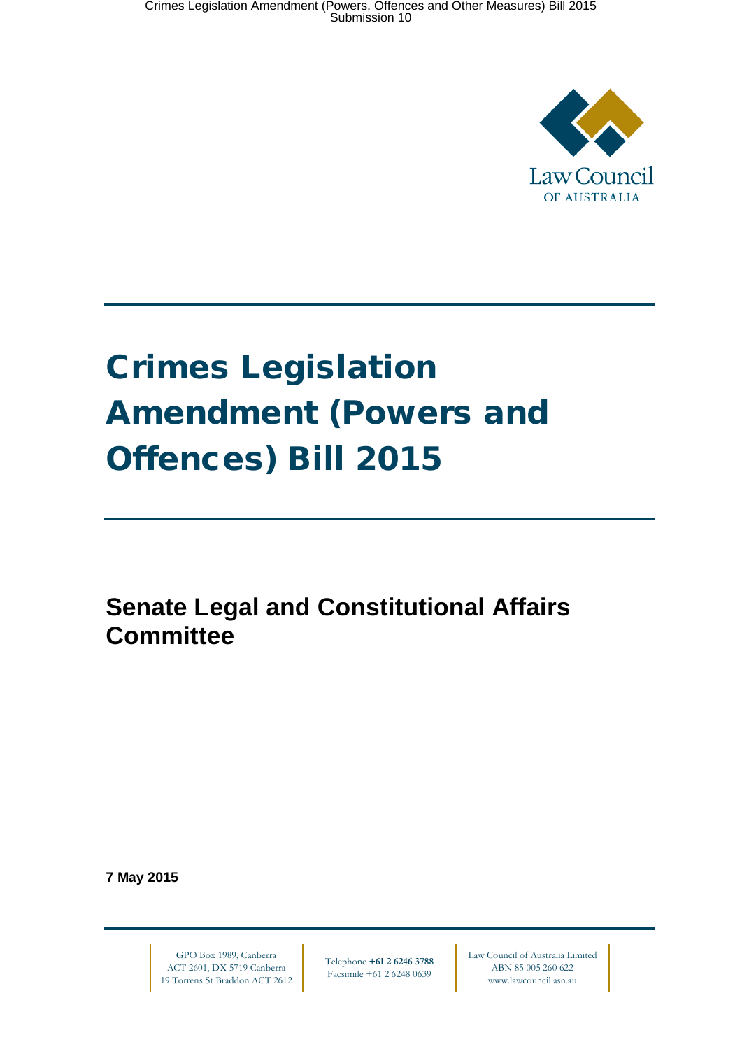

# Crimes Legislation Amendment (Powers and Offences) Bill 2015

**Senate Legal and Constitutional Affairs Committee**

**7 May 2015**

GPO Box 1989, Canberra ACT 2601, DX 5719 Canberra 19 Torrens St Braddon ACT 2612

Telephone **+61 2 6246 3788** Facsimile +61 2 6248 0639

Law Council of Australia Limited ABN 85 005 260 622 www.lawcouncil.asn.au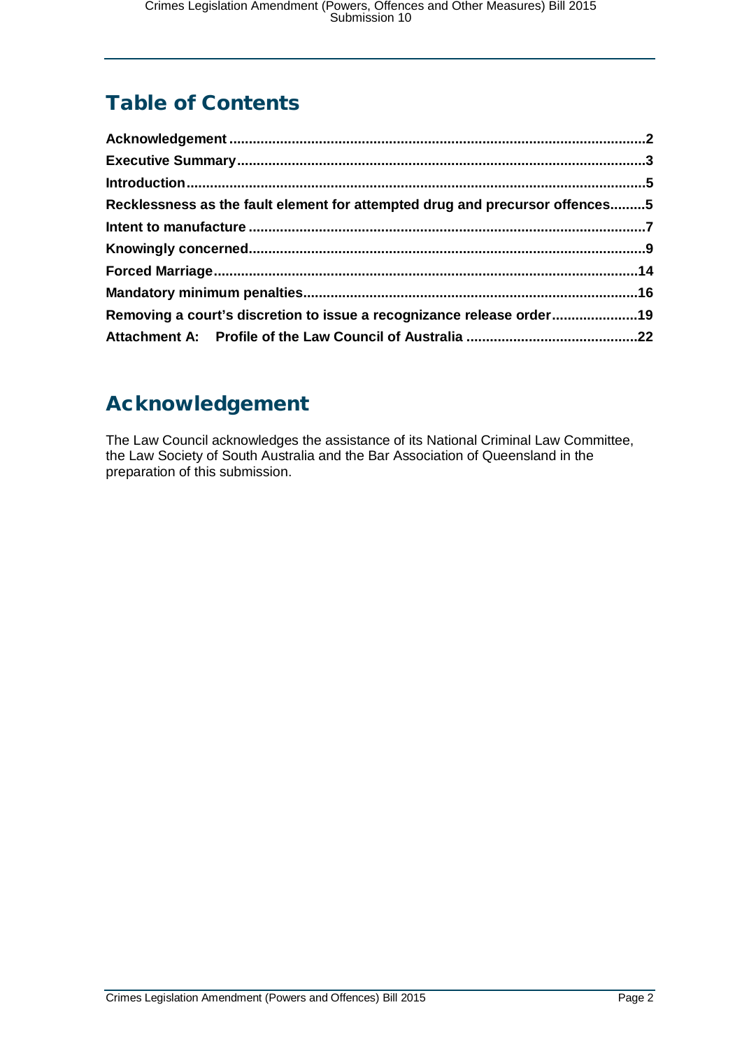# Table of Contents

| Recklessness as the fault element for attempted drug and precursor offences5 |  |
|------------------------------------------------------------------------------|--|
|                                                                              |  |
|                                                                              |  |
|                                                                              |  |
|                                                                              |  |
| Removing a court's discretion to issue a recognizance release order19        |  |
|                                                                              |  |

# <span id="page-1-0"></span>Acknowledgement

The Law Council acknowledges the assistance of its National Criminal Law Committee, the Law Society of South Australia and the Bar Association of Queensland in the preparation of this submission.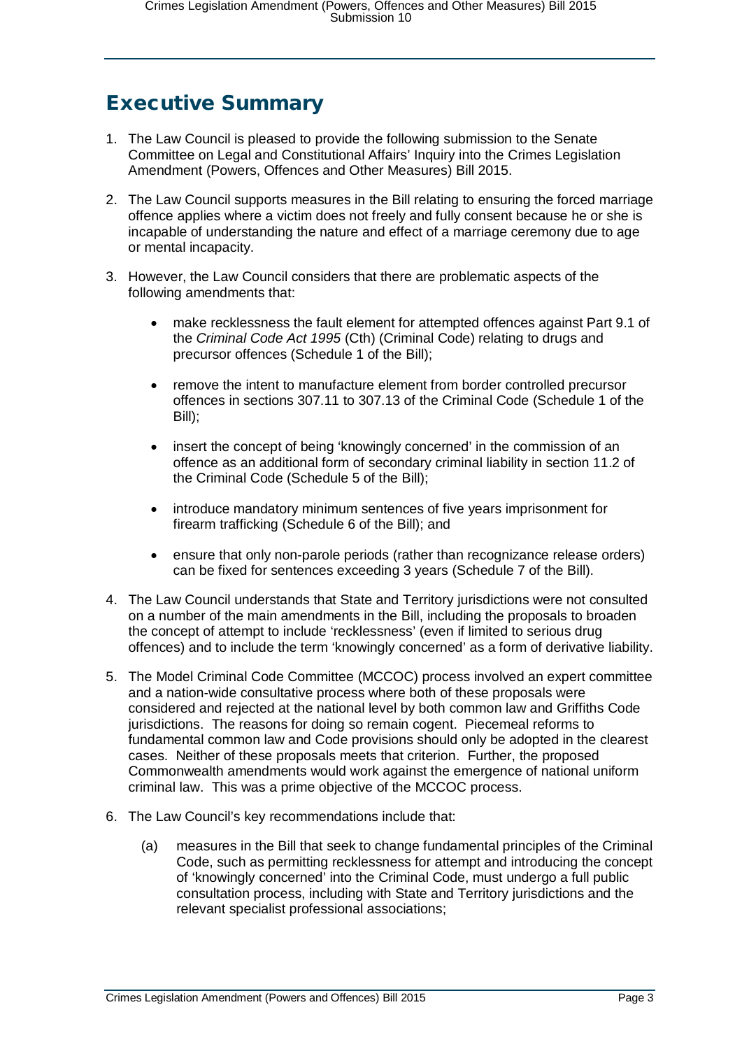### <span id="page-2-0"></span>Executive Summary

- 1. The Law Council is pleased to provide the following submission to the Senate Committee on Legal and Constitutional Affairs' Inquiry into the Crimes Legislation Amendment (Powers, Offences and Other Measures) Bill 2015.
- 2. The Law Council supports measures in the Bill relating to ensuring the forced marriage offence applies where a victim does not freely and fully consent because he or she is incapable of understanding the nature and effect of a marriage ceremony due to age or mental incapacity.
- 3. However, the Law Council considers that there are problematic aspects of the following amendments that:
	- make recklessness the fault element for attempted offences against Part 9.1 of the *Criminal Code Act 1995* (Cth) (Criminal Code) relating to drugs and precursor offences (Schedule 1 of the Bill);
	- remove the intent to manufacture element from border controlled precursor offences in sections 307.11 to 307.13 of the Criminal Code (Schedule 1 of the Bill);
	- insert the concept of being 'knowingly concerned' in the commission of an offence as an additional form of secondary criminal liability in section 11.2 of the Criminal Code (Schedule 5 of the Bill);
	- introduce mandatory minimum sentences of five years imprisonment for firearm trafficking (Schedule 6 of the Bill); and
	- ensure that only non-parole periods (rather than recognizance release orders) can be fixed for sentences exceeding 3 years (Schedule 7 of the Bill).
- 4. The Law Council understands that State and Territory jurisdictions were not consulted on a number of the main amendments in the Bill, including the proposals to broaden the concept of attempt to include 'recklessness' (even if limited to serious drug offences) and to include the term 'knowingly concerned' as a form of derivative liability.
- 5. The Model Criminal Code Committee (MCCOC) process involved an expert committee and a nation-wide consultative process where both of these proposals were considered and rejected at the national level by both common law and Griffiths Code jurisdictions. The reasons for doing so remain cogent. Piecemeal reforms to fundamental common law and Code provisions should only be adopted in the clearest cases. Neither of these proposals meets that criterion. Further, the proposed Commonwealth amendments would work against the emergence of national uniform criminal law. This was a prime objective of the MCCOC process.
- 6. The Law Council's key recommendations include that:
	- (a) measures in the Bill that seek to change fundamental principles of the Criminal Code, such as permitting recklessness for attempt and introducing the concept of 'knowingly concerned' into the Criminal Code, must undergo a full public consultation process, including with State and Territory jurisdictions and the relevant specialist professional associations;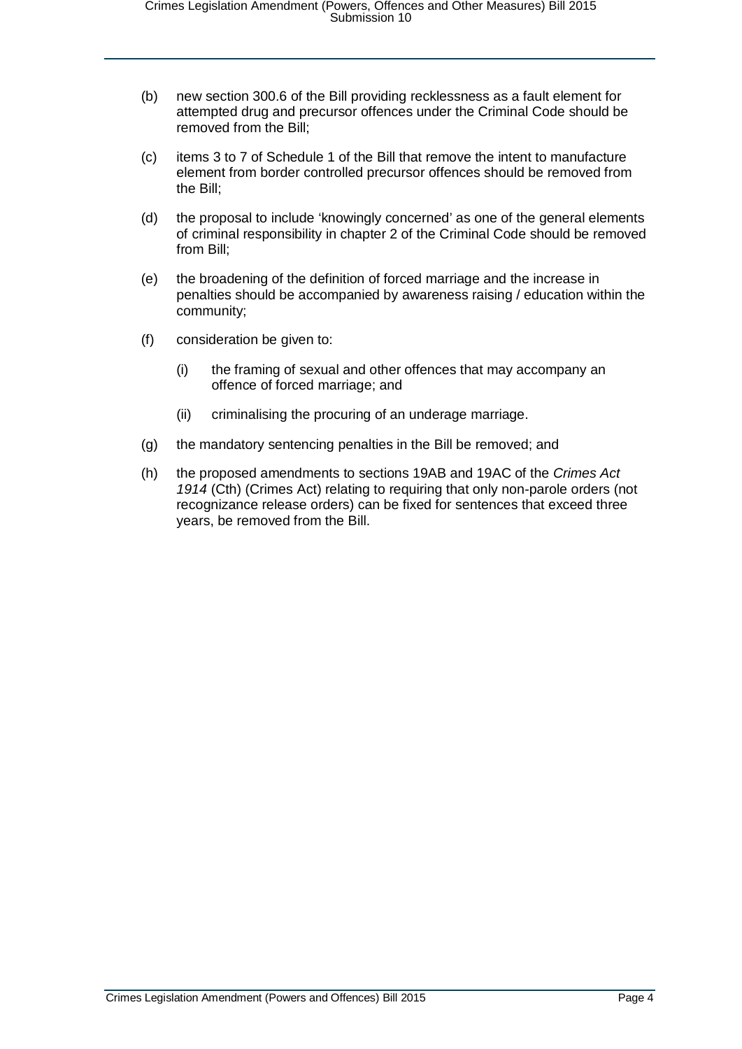- (b) new section 300.6 of the Bill providing recklessness as a fault element for attempted drug and precursor offences under the Criminal Code should be removed from the Bill;
- (c) items 3 to 7 of Schedule 1 of the Bill that remove the intent to manufacture element from border controlled precursor offences should be removed from the Bill;
- (d) the proposal to include 'knowingly concerned' as one of the general elements of criminal responsibility in chapter 2 of the Criminal Code should be removed from Bill;
- (e) the broadening of the definition of forced marriage and the increase in penalties should be accompanied by awareness raising / education within the community;
- (f) consideration be given to:
	- (i) the framing of sexual and other offences that may accompany an offence of forced marriage; and
	- (ii) criminalising the procuring of an underage marriage.
- (g) the mandatory sentencing penalties in the Bill be removed; and
- (h) the proposed amendments to sections 19AB and 19AC of the *Crimes Act 1914* (Cth) (Crimes Act) relating to requiring that only non-parole orders (not recognizance release orders) can be fixed for sentences that exceed three years, be removed from the Bill.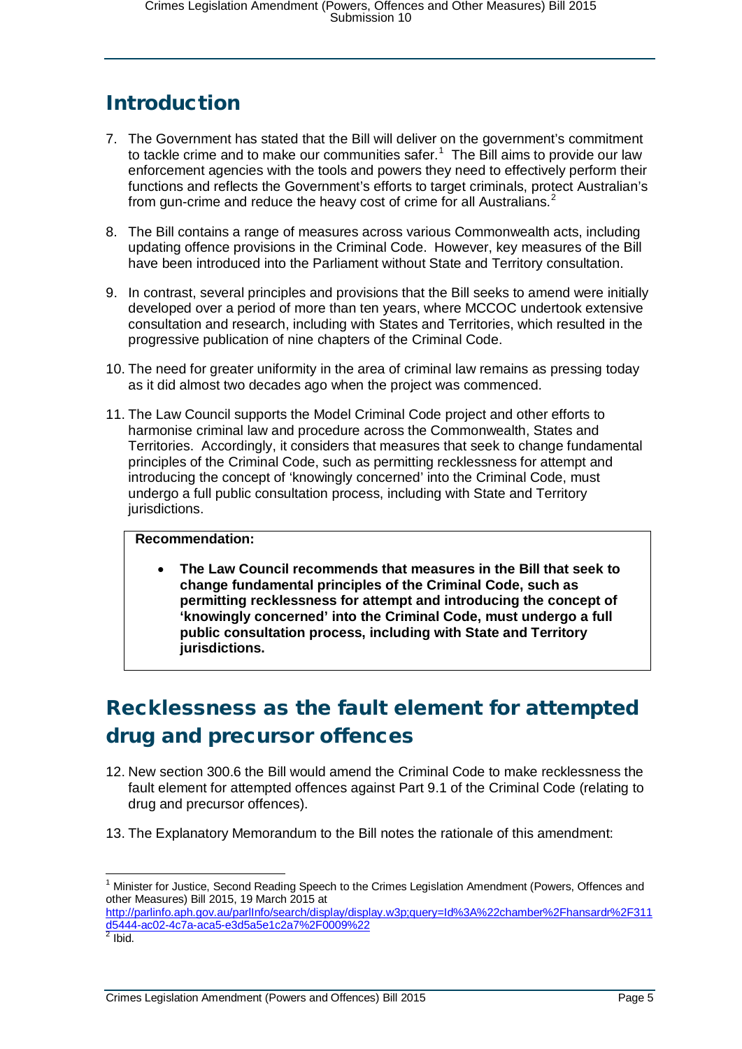# <span id="page-4-0"></span>Introduction

- 7. The Government has stated that the Bill will deliver on the government's commitment to tackle crime and to make our communities safer.<sup>[1](#page-4-2)</sup> The Bill aims to provide our law enforcement agencies with the tools and powers they need to effectively perform their functions and reflects the Government's efforts to target criminals, protect Australian's from gun-crime and reduce the heavy cost of crime for all Australians.<sup>[2](#page-4-3)</sup>
- 8. The Bill contains a range of measures across various Commonwealth acts, including updating offence provisions in the Criminal Code. However, key measures of the Bill have been introduced into the Parliament without State and Territory consultation.
- 9. In contrast, several principles and provisions that the Bill seeks to amend were initially developed over a period of more than ten years, where MCCOC undertook extensive consultation and research, including with States and Territories, which resulted in the progressive publication of nine chapters of the Criminal Code.
- 10. The need for greater uniformity in the area of criminal law remains as pressing today as it did almost two decades ago when the project was commenced.
- 11. The Law Council supports the Model Criminal Code project and other efforts to harmonise criminal law and procedure across the Commonwealth, States and Territories. Accordingly, it considers that measures that seek to change fundamental principles of the Criminal Code, such as permitting recklessness for attempt and introducing the concept of 'knowingly concerned' into the Criminal Code, must undergo a full public consultation process, including with State and Territory jurisdictions.

#### **Recommendation:**

• **The Law Council recommends that measures in the Bill that seek to change fundamental principles of the Criminal Code, such as permitting recklessness for attempt and introducing the concept of 'knowingly concerned' into the Criminal Code, must undergo a full public consultation process, including with State and Territory jurisdictions.**

# <span id="page-4-1"></span>Recklessness as the fault element for attempted drug and precursor offences

- 12. New section 300.6 the Bill would amend the Criminal Code to make recklessness the fault element for attempted offences against Part 9.1 of the Criminal Code (relating to drug and precursor offences).
- 13. The Explanatory Memorandum to the Bill notes the rationale of this amendment:

<span id="page-4-2"></span><sup>&</sup>lt;sup>1</sup> Minister for Justice, Second Reading Speech to the Crimes Legislation Amendment (Powers, Offences and other Measures) Bill 2015, 19 March 2015 at

<span id="page-4-3"></span>[http://parlinfo.aph.gov.au/parlInfo/search/display/display.w3p;query=Id%3A%22chamber%2Fhansardr%2F311](http://parlinfo.aph.gov.au/parlInfo/search/display/display.w3p;query=Id%3A%22chamber%2Fhansardr%2F311d5444-ac02-4c7a-aca5-e3d5a5e1c2a7%2F0009%22) [d5444-ac02-4c7a-aca5-e3d5a5e1c2a7%2F0009%22](http://parlinfo.aph.gov.au/parlInfo/search/display/display.w3p;query=Id%3A%22chamber%2Fhansardr%2F311d5444-ac02-4c7a-aca5-e3d5a5e1c2a7%2F0009%22) <sup>2</sup> Ibid.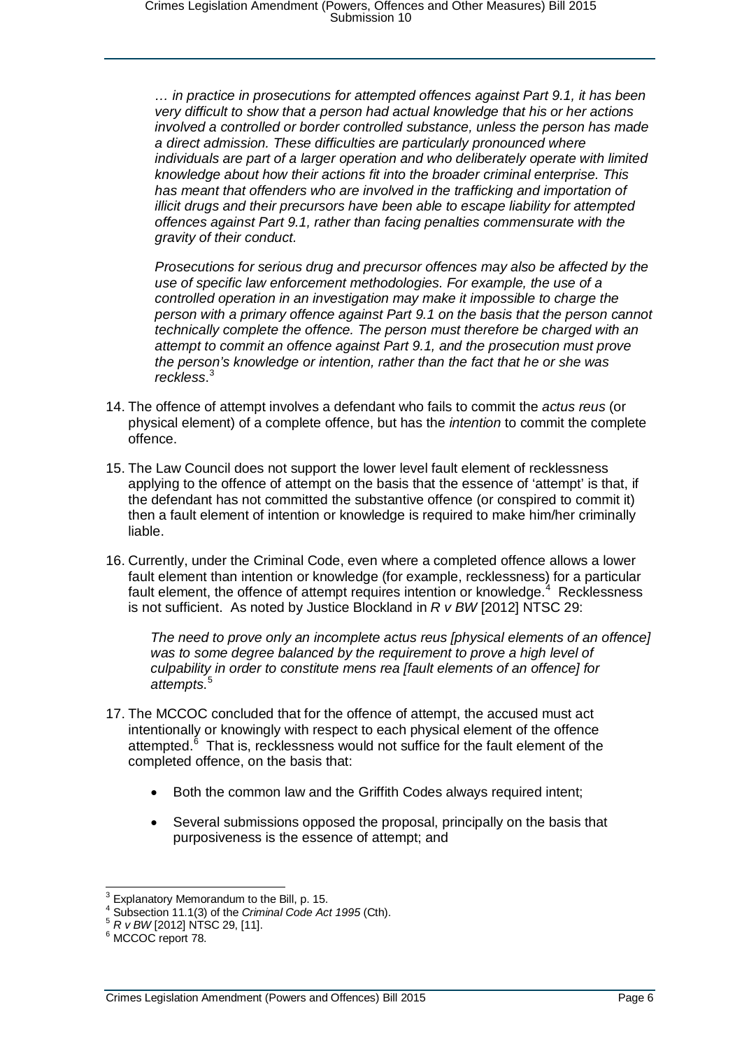*… in practice in prosecutions for attempted offences against Part 9.1, it has been very difficult to show that a person had actual knowledge that his or her actions involved a controlled or border controlled substance, unless the person has made a direct admission. These difficulties are particularly pronounced where individuals are part of a larger operation and who deliberately operate with limited knowledge about how their actions fit into the broader criminal enterprise. This*  has meant that offenders who are involved in the trafficking and importation of *illicit drugs and their precursors have been able to escape liability for attempted offences against Part 9.1, rather than facing penalties commensurate with the gravity of their conduct.* 

*Prosecutions for serious drug and precursor offences may also be affected by the use of specific law enforcement methodologies. For example, the use of a controlled operation in an investigation may make it impossible to charge the person with a primary offence against Part 9.1 on the basis that the person cannot technically complete the offence. The person must therefore be charged with an attempt to commit an offence against Part 9.1, and the prosecution must prove the person's knowledge or intention, rather than the fact that he or she was reckless*. [3](#page-5-0)

- 14. The offence of attempt involves a defendant who fails to commit the *actus reus* (or physical element) of a complete offence, but has the *intention* to commit the complete offence.
- 15. The Law Council does not support the lower level fault element of recklessness applying to the offence of attempt on the basis that the essence of 'attempt' is that, if the defendant has not committed the substantive offence (or conspired to commit it) then a fault element of intention or knowledge is required to make him/her criminally liable.
- 16. Currently, under the Criminal Code, even where a completed offence allows a lower fault element than intention or knowledge (for example, recklessness) for a particular fault element, the offence of attempt requires intention or knowledge.<sup>[4](#page-5-1)</sup> Recklessness is not sufficient. As noted by Justice Blockland in *R v BW* [2012] NTSC 29:

*The need to prove only an incomplete actus reus [physical elements of an offence] was to some degree balanced by the requirement to prove a high level of culpability in order to constitute mens rea [fault elements of an offence] for attempts*. [5](#page-5-2)

- 17. The MCCOC concluded that for the offence of attempt, the accused must act intentionally or knowingly with respect to each physical element of the offence attempted.<sup>[6](#page-5-3)</sup> That is, recklessness would not suffice for the fault element of the completed offence, on the basis that:
	- Both the common law and the Griffith Codes always required intent;
	- Several submissions opposed the proposal, principally on the basis that purposiveness is the essence of attempt; and

<span id="page-5-1"></span><span id="page-5-0"></span><sup>&</sup>lt;sup>3</sup> Explanatory Memorandum to the Bill, p. 15.<br><sup>4</sup> Subsection 11.1(3) of the *Criminal Code Act 1995* (Cth).<br><sup>5</sup> *R v BW* [2012] NTSC 29, [11].<br><sup>6</sup> MCCOC report 78.

<span id="page-5-3"></span><span id="page-5-2"></span>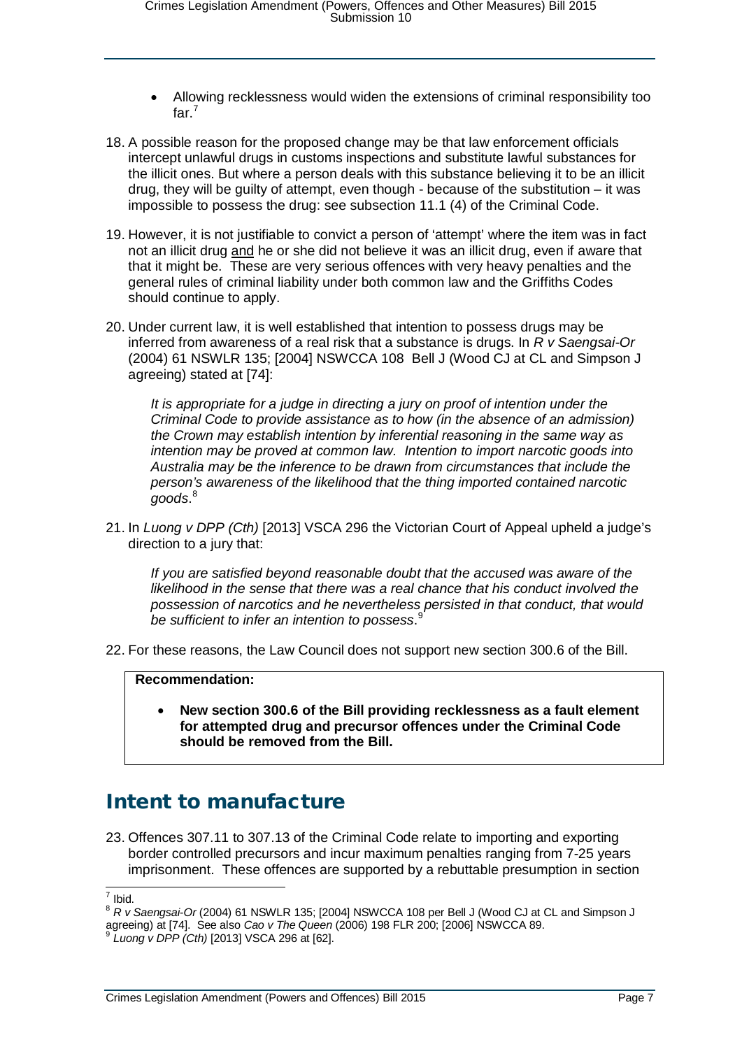- Allowing recklessness would widen the extensions of criminal responsibility too far.<sup>[7](#page-6-1)</sup>
- 18. A possible reason for the proposed change may be that law enforcement officials intercept unlawful drugs in customs inspections and substitute lawful substances for the illicit ones. But where a person deals with this substance believing it to be an illicit drug, they will be guilty of attempt, even though - because of the substitution – it was impossible to possess the drug: see subsection 11.1 (4) of the Criminal Code.
- 19. However, it is not justifiable to convict a person of 'attempt' where the item was in fact not an illicit drug and he or she did not believe it was an illicit drug, even if aware that that it might be. These are very serious offences with very heavy penalties and the general rules of criminal liability under both common law and the Griffiths Codes should continue to apply.
- 20. Under current law, it is well established that intention to possess drugs may be inferred from awareness of a real risk that a substance is drugs. In *R v Saengsai-Or* (2004) 61 NSWLR 135; [2004] NSWCCA 108 Bell J (Wood CJ at CL and Simpson J agreeing) stated at [74]:

*It is appropriate for a judge in directing a jury on proof of intention under the Criminal Code to provide assistance as to how (in the absence of an admission) the Crown may establish intention by inferential reasoning in the same way as intention may be proved at common law. Intention to import narcotic goods into Australia may be the inference to be drawn from circumstances that include the person's awareness of the likelihood that the thing imported contained narcotic goods*. [8](#page-6-2)

21. In *Luong v DPP (Cth)* [2013] VSCA 296 the Victorian Court of Appeal upheld a judge's direction to a jury that:

*If you are satisfied beyond reasonable doubt that the accused was aware of the likelihood in the sense that there was a real chance that his conduct involved the possession of narcotics and he nevertheless persisted in that conduct, that would be sufficient to infer an intention to possess*. [9](#page-6-3)

22. For these reasons, the Law Council does not support new section 300.6 of the Bill.

### **Recommendation:**

• **New section 300.6 of the Bill providing recklessness as a fault element for attempted drug and precursor offences under the Criminal Code should be removed from the Bill.**

### <span id="page-6-0"></span>Intent to manufacture

23. Offences 307.11 to 307.13 of the Criminal Code relate to importing and exporting border controlled precursors and incur maximum penalties ranging from 7-25 years imprisonment. These offences are supported by a rebuttable presumption in section

<span id="page-6-2"></span><span id="page-6-1"></span><sup>&</sup>lt;sup>7</sup> Ibid.<br><sup>8</sup> *R v Saengsai-Or* (2004) 61 NSWLR 135; [2004] NSWCCA 108 per Bell J (Wood CJ at CL and Simpson J agreeing) at [74]. See also *Cao v The Queen* (2006) 198 FLR 200; [2006] NSWCCA 89.<br><sup>9</sup> Luong v DPP (Cth) [2013] VSCA 296 at [62].

<span id="page-6-3"></span>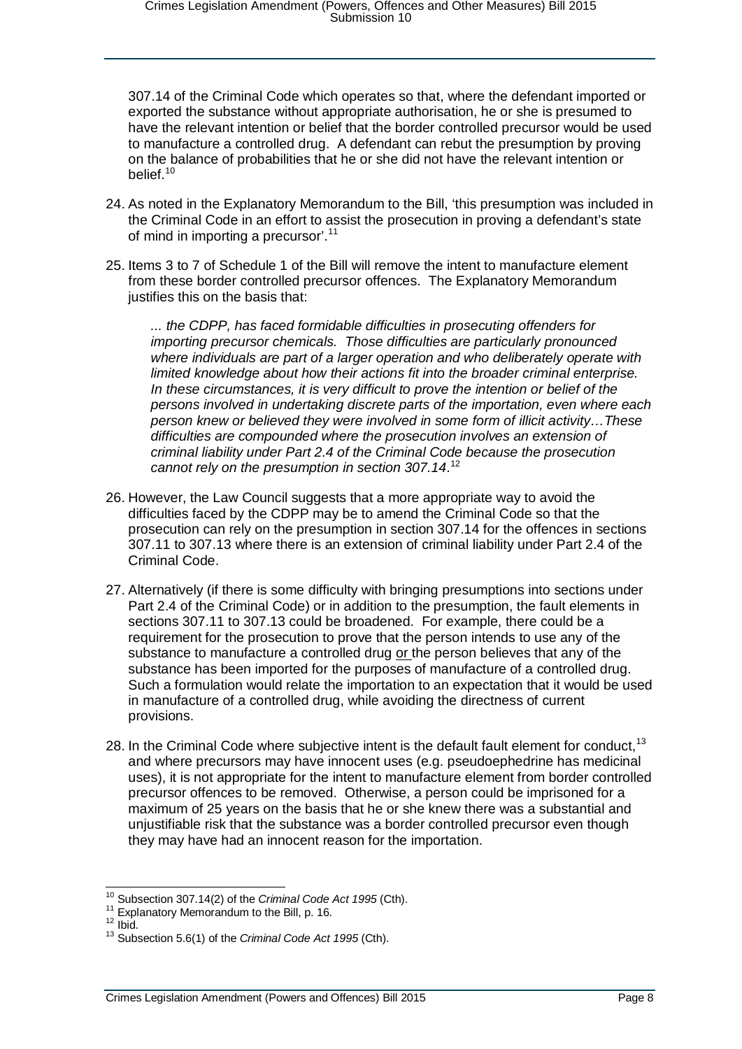307.14 of the Criminal Code which operates so that, where the defendant imported or exported the substance without appropriate authorisation, he or she is presumed to have the relevant intention or belief that the border controlled precursor would be used to manufacture a controlled drug. A defendant can rebut the presumption by proving on the balance of probabilities that he or she did not have the relevant intention or belief.[10](#page-7-0)

- 24. As noted in the Explanatory Memorandum to the Bill, 'this presumption was included in the Criminal Code in an effort to assist the prosecution in proving a defendant's state of mind in importing a precursor'.<sup>[11](#page-7-1)</sup>
- 25. Items 3 to 7 of Schedule 1 of the Bill will remove the intent to manufacture element from these border controlled precursor offences. The Explanatory Memorandum justifies this on the basis that:

*... the CDPP, has faced formidable difficulties in prosecuting offenders for importing precursor chemicals. Those difficulties are particularly pronounced where individuals are part of a larger operation and who deliberately operate with limited knowledge about how their actions fit into the broader criminal enterprise. In these circumstances, it is very difficult to prove the intention or belief of the persons involved in undertaking discrete parts of the importation, even where each person knew or believed they were involved in some form of illicit activity…These difficulties are compounded where the prosecution involves an extension of criminal liability under Part 2.4 of the Criminal Code because the prosecution cannot rely on the presumption in section 307.14*. [12](#page-7-2)

- 26. However, the Law Council suggests that a more appropriate way to avoid the difficulties faced by the CDPP may be to amend the Criminal Code so that the prosecution can rely on the presumption in section 307.14 for the offences in sections 307.11 to 307.13 where there is an extension of criminal liability under Part 2.4 of the Criminal Code.
- 27. Alternatively (if there is some difficulty with bringing presumptions into sections under Part 2.4 of the Criminal Code) or in addition to the presumption, the fault elements in sections 307.11 to 307.13 could be broadened. For example, there could be a requirement for the prosecution to prove that the person intends to use any of the substance to manufacture a controlled drug or the person believes that any of the substance has been imported for the purposes of manufacture of a controlled drug. Such a formulation would relate the importation to an expectation that it would be used in manufacture of a controlled drug, while avoiding the directness of current provisions.
- 28. In the Criminal Code where subjective intent is the default fault element for conduct,<sup>[13](#page-7-3)</sup> and where precursors may have innocent uses (e.g. pseudoephedrine has medicinal uses), it is not appropriate for the intent to manufacture element from border controlled precursor offences to be removed. Otherwise, a person could be imprisoned for a maximum of 25 years on the basis that he or she knew there was a substantial and unjustifiable risk that the substance was a border controlled precursor even though they may have had an innocent reason for the importation.

<span id="page-7-0"></span><sup>&</sup>lt;sup>10</sup> Subsection 307.14(2) of the *Criminal Code Act 1995* (Cth).<br><sup>11</sup> Explanatory Memorandum to the Bill, p. 16.<br><sup>12</sup> Ibid.<br><sup>13</sup> Subsection 5.6(1) of the *Criminal Code Act 1995* (Cth).

<span id="page-7-1"></span>

<span id="page-7-3"></span><span id="page-7-2"></span>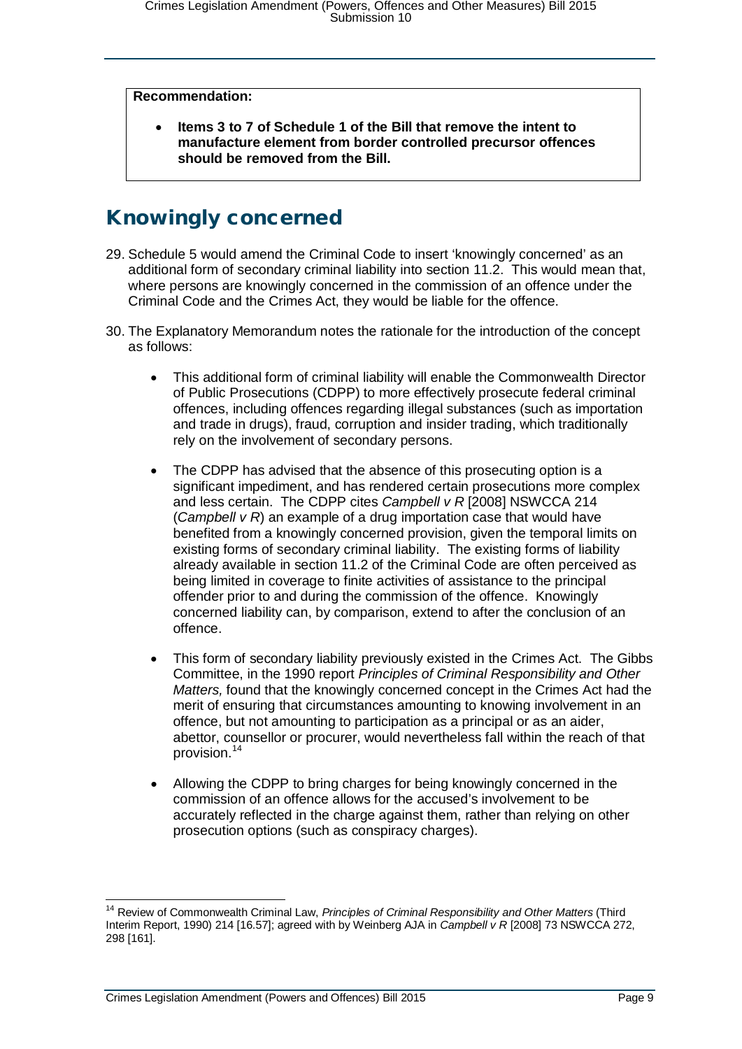#### **Recommendation:**

• **Items 3 to 7 of Schedule 1 of the Bill that remove the intent to manufacture element from border controlled precursor offences should be removed from the Bill.**

### <span id="page-8-0"></span>Knowingly concerned

- 29. Schedule 5 would amend the Criminal Code to insert 'knowingly concerned' as an additional form of secondary criminal liability into section 11.2. This would mean that, where persons are knowingly concerned in the commission of an offence under the Criminal Code and the Crimes Act, they would be liable for the offence.
- 30. The Explanatory Memorandum notes the rationale for the introduction of the concept as follows:
	- This additional form of criminal liability will enable the Commonwealth Director of Public Prosecutions (CDPP) to more effectively prosecute federal criminal offences, including offences regarding illegal substances (such as importation and trade in drugs), fraud, corruption and insider trading, which traditionally rely on the involvement of secondary persons.
	- The CDPP has advised that the absence of this prosecuting option is a significant impediment, and has rendered certain prosecutions more complex and less certain. The CDPP cites *Campbell v R* [2008] NSWCCA 214 (*Campbell v R*) an example of a drug importation case that would have benefited from a knowingly concerned provision, given the temporal limits on existing forms of secondary criminal liability. The existing forms of liability already available in section 11.2 of the Criminal Code are often perceived as being limited in coverage to finite activities of assistance to the principal offender prior to and during the commission of the offence. Knowingly concerned liability can, by comparison, extend to after the conclusion of an offence.
	- This form of secondary liability previously existed in the Crimes Act. The Gibbs Committee, in the 1990 report *Principles of Criminal Responsibility and Other Matters,* found that the knowingly concerned concept in the Crimes Act had the merit of ensuring that circumstances amounting to knowing involvement in an offence, but not amounting to participation as a principal or as an aider, abettor, counsellor or procurer, would nevertheless fall within the reach of that provision.[14](#page-8-1)
	- Allowing the CDPP to bring charges for being knowingly concerned in the commission of an offence allows for the accused's involvement to be accurately reflected in the charge against them, rather than relying on other prosecution options (such as conspiracy charges).

<span id="page-8-1"></span><sup>&</sup>lt;sup>14</sup> Review of Commonwealth Criminal Law, *Principles of Criminal Responsibility and Other Matters* (Third Interim Report, 1990) 214 [16.57]; agreed with by Weinberg AJA in *Campbell v R* [2008] 73 NSWCCA 272, 298 [161].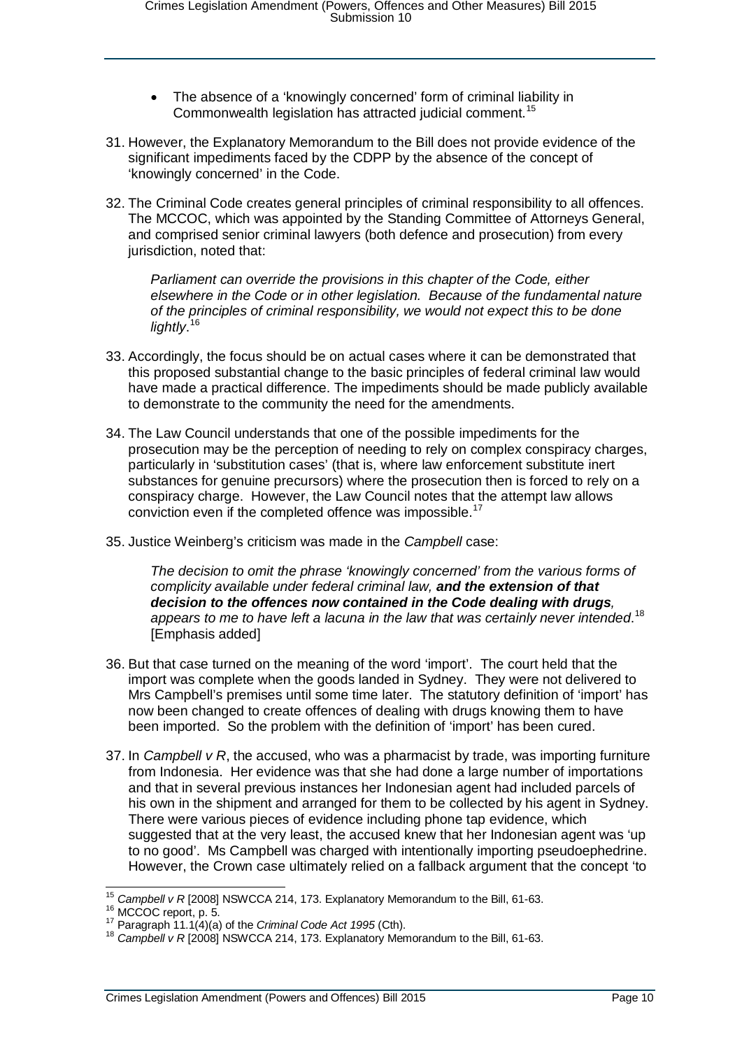- The absence of a 'knowingly concerned' form of criminal liability in Commonwealth legislation has attracted judicial comment.<sup>[15](#page-9-0)</sup>
- 31. However, the Explanatory Memorandum to the Bill does not provide evidence of the significant impediments faced by the CDPP by the absence of the concept of 'knowingly concerned' in the Code.
- 32. The Criminal Code creates general principles of criminal responsibility to all offences. The MCCOC, which was appointed by the Standing Committee of Attorneys General, and comprised senior criminal lawyers (both defence and prosecution) from every jurisdiction, noted that:

*Parliament can override the provisions in this chapter of the Code, either elsewhere in the Code or in other legislation. Because of the fundamental nature of the principles of criminal responsibility, we would not expect this to be done lightly*. [16](#page-9-1)

- 33. Accordingly, the focus should be on actual cases where it can be demonstrated that this proposed substantial change to the basic principles of federal criminal law would have made a practical difference. The impediments should be made publicly available to demonstrate to the community the need for the amendments.
- 34. The Law Council understands that one of the possible impediments for the prosecution may be the perception of needing to rely on complex conspiracy charges, particularly in 'substitution cases' (that is, where law enforcement substitute inert substances for genuine precursors) where the prosecution then is forced to rely on a conspiracy charge. However, the Law Council notes that the attempt law allows conviction even if the completed offence was impossible.[17](#page-9-2)
- 35. Justice Weinberg's criticism was made in the *Campbell* case:

*The decision to omit the phrase 'knowingly concerned' from the various forms of complicity available under federal criminal law, and the extension of that decision to the offences now contained in the Code dealing with drugs, appears to me to have left a lacuna in the law that was certainly never intended*. [18](#page-9-3) [Emphasis added]

- 36. But that case turned on the meaning of the word 'import'. The court held that the import was complete when the goods landed in Sydney. They were not delivered to Mrs Campbell's premises until some time later. The statutory definition of 'import' has now been changed to create offences of dealing with drugs knowing them to have been imported. So the problem with the definition of 'import' has been cured.
- 37. In *Campbell v R*, the accused, who was a pharmacist by trade, was importing furniture from Indonesia. Her evidence was that she had done a large number of importations and that in several previous instances her Indonesian agent had included parcels of his own in the shipment and arranged for them to be collected by his agent in Sydney. There were various pieces of evidence including phone tap evidence, which suggested that at the very least, the accused knew that her Indonesian agent was 'up to no good'. Ms Campbell was charged with intentionally importing pseudoephedrine. However, the Crown case ultimately relied on a fallback argument that the concept 'to

<span id="page-9-1"></span><span id="page-9-0"></span><sup>&</sup>lt;sup>15</sup> Campbell v R [2008] NSWCCA 214, 173. Explanatory Memorandum to the Bill, 61-63.<br><sup>16</sup> MCCOC report, p. 5.<br><sup>17</sup> Paragraph 11.1(4)(a) of the *Criminal Code Act 1995* (Cth).<br><sup>18</sup> Campbell v R [2008] NSWCCA 214, 173. Expl

<span id="page-9-3"></span><span id="page-9-2"></span>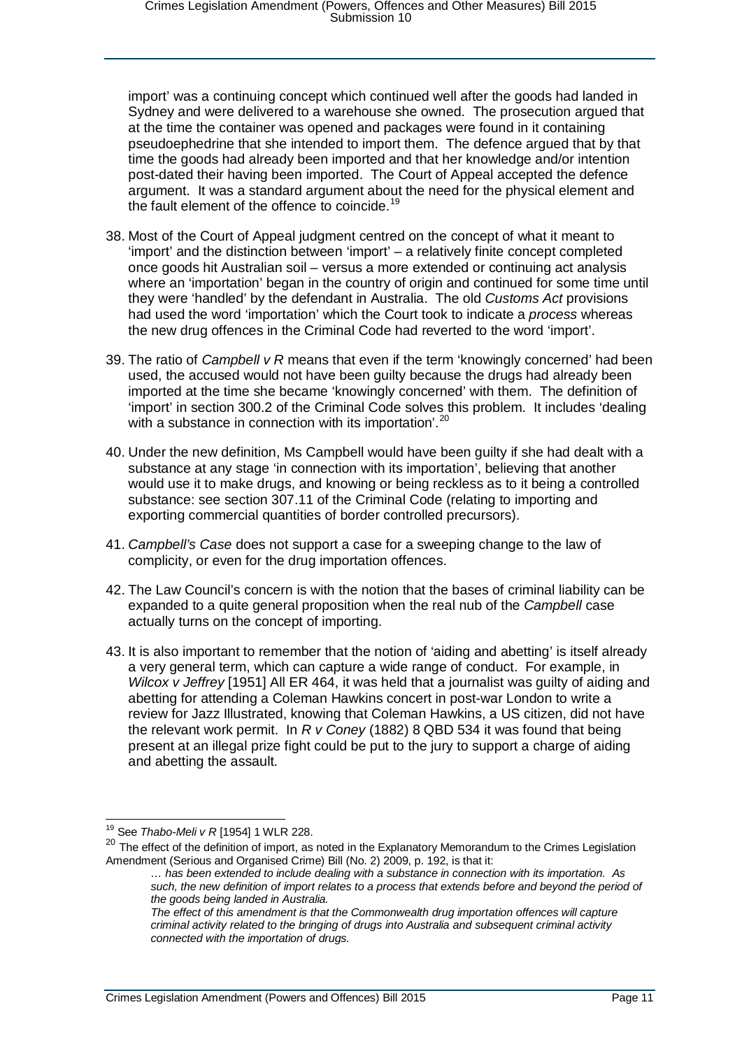import' was a continuing concept which continued well after the goods had landed in Sydney and were delivered to a warehouse she owned. The prosecution argued that at the time the container was opened and packages were found in it containing pseudoephedrine that she intended to import them. The defence argued that by that time the goods had already been imported and that her knowledge and/or intention post-dated their having been imported. The Court of Appeal accepted the defence argument. It was a standard argument about the need for the physical element and the fault element of the offence to coincide.<sup>[19](#page-10-0)</sup>

- 38. Most of the Court of Appeal judgment centred on the concept of what it meant to 'import' and the distinction between 'import' – a relatively finite concept completed once goods hit Australian soil – versus a more extended or continuing act analysis where an 'importation' began in the country of origin and continued for some time until they were 'handled' by the defendant in Australia. The old *Customs Act* provisions had used the word 'importation' which the Court took to indicate a *process* whereas the new drug offences in the Criminal Code had reverted to the word 'import'.
- 39. The ratio of *Campbell v R* means that even if the term 'knowingly concerned' had been used, the accused would not have been guilty because the drugs had already been imported at the time she became 'knowingly concerned' with them. The definition of 'import' in section 300.2 of the Criminal Code solves this problem. It includes 'dealing with a substance in connection with its importation'.<sup>[20](#page-10-1)</sup>
- 40. Under the new definition, Ms Campbell would have been guilty if she had dealt with a substance at any stage 'in connection with its importation', believing that another would use it to make drugs, and knowing or being reckless as to it being a controlled substance: see section 307.11 of the Criminal Code (relating to importing and exporting commercial quantities of border controlled precursors).
- 41. *Campbell's Case* does not support a case for a sweeping change to the law of complicity, or even for the drug importation offences.
- 42. The Law Council's concern is with the notion that the bases of criminal liability can be expanded to a quite general proposition when the real nub of the *Campbell* case actually turns on the concept of importing.
- 43. It is also important to remember that the notion of 'aiding and abetting' is itself already a very general term, which can capture a wide range of conduct. For example, in *Wilcox v Jeffrey* [1951] All ER 464, it was held that a journalist was guilty of aiding and abetting for attending a Coleman Hawkins concert in post-war London to write a review for Jazz Illustrated, knowing that Coleman Hawkins, a US citizen, did not have the relevant work permit. In *R v Coney* (1882) 8 QBD 534 it was found that being present at an illegal prize fight could be put to the jury to support a charge of aiding and abetting the assault.

 <sup>19</sup> See *Thabo-Meli v R* [1954] 1 WLR 228.

<span id="page-10-1"></span><span id="page-10-0"></span><sup>&</sup>lt;sup>20</sup> The effect of the definition of import, as noted in the Explanatory Memorandum to the Crimes Legislation Amendment (Serious and Organised Crime) Bill (No. 2) 2009, p. 192, is that it:

*<sup>…</sup> has been extended to include dealing with a substance in connection with its importation. As such, the new definition of import relates to a process that extends before and beyond the period of the goods being landed in Australia.*

*The effect of this amendment is that the Commonwealth drug importation offences will capture criminal activity related to the bringing of drugs into Australia and subsequent criminal activity connected with the importation of drugs.*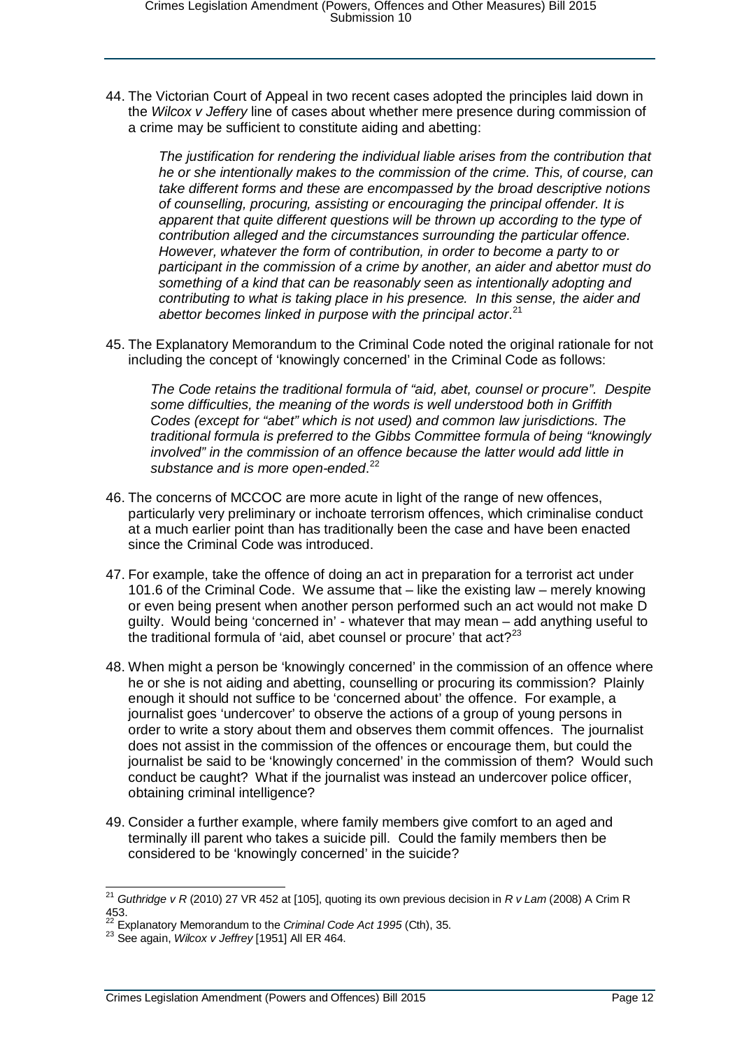44. The Victorian Court of Appeal in two recent cases adopted the principles laid down in the *Wilcox v Jeffery* line of cases about whether mere presence during commission of a crime may be sufficient to constitute aiding and abetting:

*The justification for rendering the individual liable arises from the contribution that he or she intentionally makes to the commission of the crime. This, of course, can take different forms and these are encompassed by the broad descriptive notions of counselling, procuring, assisting or encouraging the principal offender. It is apparent that quite different questions will be thrown up according to the type of contribution alleged and the circumstances surrounding the particular offence. However, whatever the form of contribution, in order to become a party to or participant in the commission of a crime by another, an aider and abettor must do something of a kind that can be reasonably seen as intentionally adopting and contributing to what is taking place in his presence. In this sense, the aider and abettor becomes linked in purpose with the principal actor*. [21](#page-11-0)

45. The Explanatory Memorandum to the Criminal Code noted the original rationale for not including the concept of 'knowingly concerned' in the Criminal Code as follows:

*The Code retains the traditional formula of "aid, abet, counsel or procure". Despite some difficulties, the meaning of the words is well understood both in Griffith Codes (except for "abet" which is not used) and common law jurisdictions. The traditional formula is preferred to the Gibbs Committee formula of being "knowingly involved" in the commission of an offence because the latter would add little in substance and is more open-ended*. [22](#page-11-1)

- 46. The concerns of MCCOC are more acute in light of the range of new offences, particularly very preliminary or inchoate terrorism offences, which criminalise conduct at a much earlier point than has traditionally been the case and have been enacted since the Criminal Code was introduced.
- 47. For example, take the offence of doing an act in preparation for a terrorist act under 101.6 of the Criminal Code. We assume that – like the existing law – merely knowing or even being present when another person performed such an act would not make D guilty. Would being 'concerned in' - whatever that may mean – add anything useful to the traditional formula of 'aid, abet counsel or procure' that  $act?^{23}$  $act?^{23}$  $act?^{23}$
- 48. When might a person be 'knowingly concerned' in the commission of an offence where he or she is not aiding and abetting, counselling or procuring its commission? Plainly enough it should not suffice to be 'concerned about' the offence. For example, a journalist goes 'undercover' to observe the actions of a group of young persons in order to write a story about them and observes them commit offences. The journalist does not assist in the commission of the offences or encourage them, but could the journalist be said to be 'knowingly concerned' in the commission of them? Would such conduct be caught? What if the journalist was instead an undercover police officer, obtaining criminal intelligence?
- 49. Consider a further example, where family members give comfort to an aged and terminally ill parent who takes a suicide pill. Could the family members then be considered to be 'knowingly concerned' in the suicide?

<span id="page-11-0"></span> <sup>21</sup> *Guthridge v R* (2010) 27 VR 452 at [105], quoting its own previous decision in *R v Lam* (2008) A Crim R 453.

<sup>&</sup>lt;sup>22</sup> Explanatory Memorandum to the *Criminal Code Act 1995* (Cth), 35.<br><sup>23</sup> See again, *Wilcox v Jeffrey* [1951] All ER 464.

<span id="page-11-2"></span><span id="page-11-1"></span>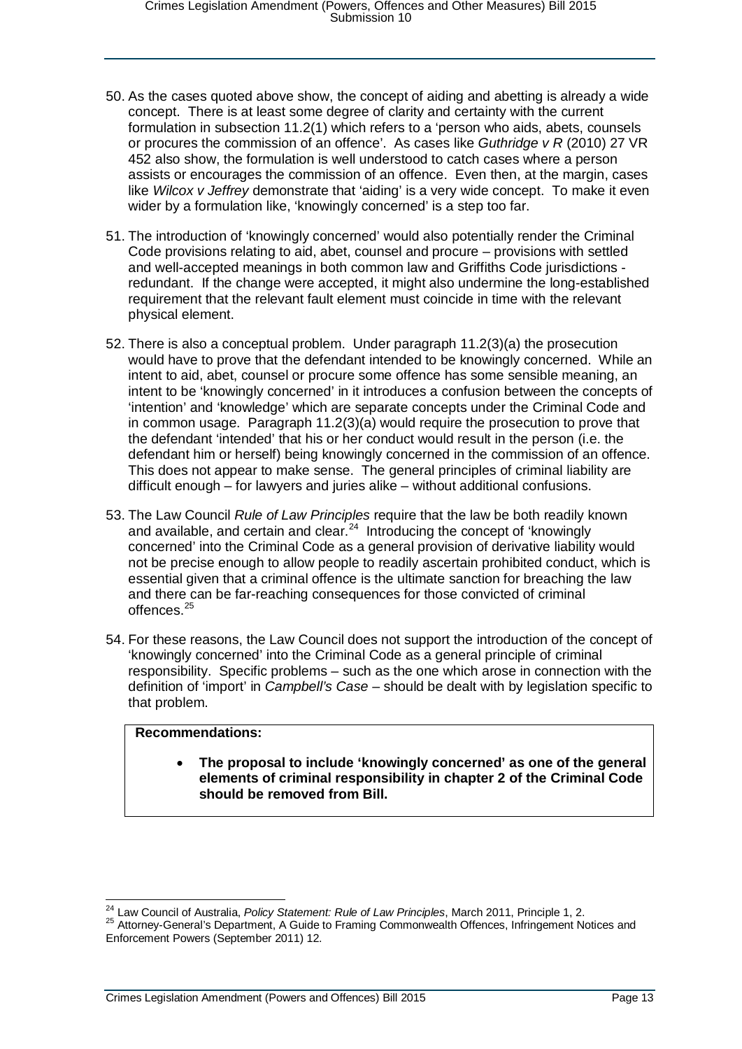- 50. As the cases quoted above show, the concept of aiding and abetting is already a wide concept. There is at least some degree of clarity and certainty with the current formulation in subsection 11.2(1) which refers to a 'person who aids, abets, counsels or procures the commission of an offence'. As cases like *Guthridge v R* (2010) 27 VR 452 also show, the formulation is well understood to catch cases where a person assists or encourages the commission of an offence. Even then, at the margin, cases like *Wilcox v Jeffrey* demonstrate that 'aiding' is a very wide concept. To make it even wider by a formulation like, 'knowingly concerned' is a step too far.
- 51. The introduction of 'knowingly concerned' would also potentially render the Criminal Code provisions relating to aid, abet, counsel and procure – provisions with settled and well-accepted meanings in both common law and Griffiths Code jurisdictions redundant. If the change were accepted, it might also undermine the long-established requirement that the relevant fault element must coincide in time with the relevant physical element.
- 52. There is also a conceptual problem. Under paragraph 11.2(3)(a) the prosecution would have to prove that the defendant intended to be knowingly concerned. While an intent to aid, abet, counsel or procure some offence has some sensible meaning, an intent to be 'knowingly concerned' in it introduces a confusion between the concepts of 'intention' and 'knowledge' which are separate concepts under the Criminal Code and in common usage. Paragraph 11.2(3)(a) would require the prosecution to prove that the defendant 'intended' that his or her conduct would result in the person (i.e. the defendant him or herself) being knowingly concerned in the commission of an offence. This does not appear to make sense. The general principles of criminal liability are difficult enough – for lawyers and juries alike – without additional confusions.
- 53. The Law Council *Rule of Law Principles* require that the law be both readily known and available, and certain and clear.<sup>24</sup> Introducing the concept of 'knowingly concerned' into the Criminal Code as a general provision of derivative liability would not be precise enough to allow people to readily ascertain prohibited conduct, which is essential given that a criminal offence is the ultimate sanction for breaching the law and there can be far-reaching consequences for those convicted of criminal  $offences<sup>25</sup>$  $offences<sup>25</sup>$  $offences<sup>25</sup>$
- 54. For these reasons, the Law Council does not support the introduction of the concept of 'knowingly concerned' into the Criminal Code as a general principle of criminal responsibility. Specific problems – such as the one which arose in connection with the definition of 'import' in *Campbell's Case* – should be dealt with by legislation specific to that problem.

### **Recommendations:**

• **The proposal to include 'knowingly concerned' as one of the general elements of criminal responsibility in chapter 2 of the Criminal Code should be removed from Bill.**

<span id="page-12-1"></span><span id="page-12-0"></span><sup>&</sup>lt;sup>24</sup> Law Council of Australia, *Policy Statement: Rule of Law Principles*, March 2011, Principle 1, 2.<br><sup>25</sup> Attorney-General's Department, A Guide to Framing Commonwealth Offences, Infringement Notices and Enforcement Powers (September 2011) 12.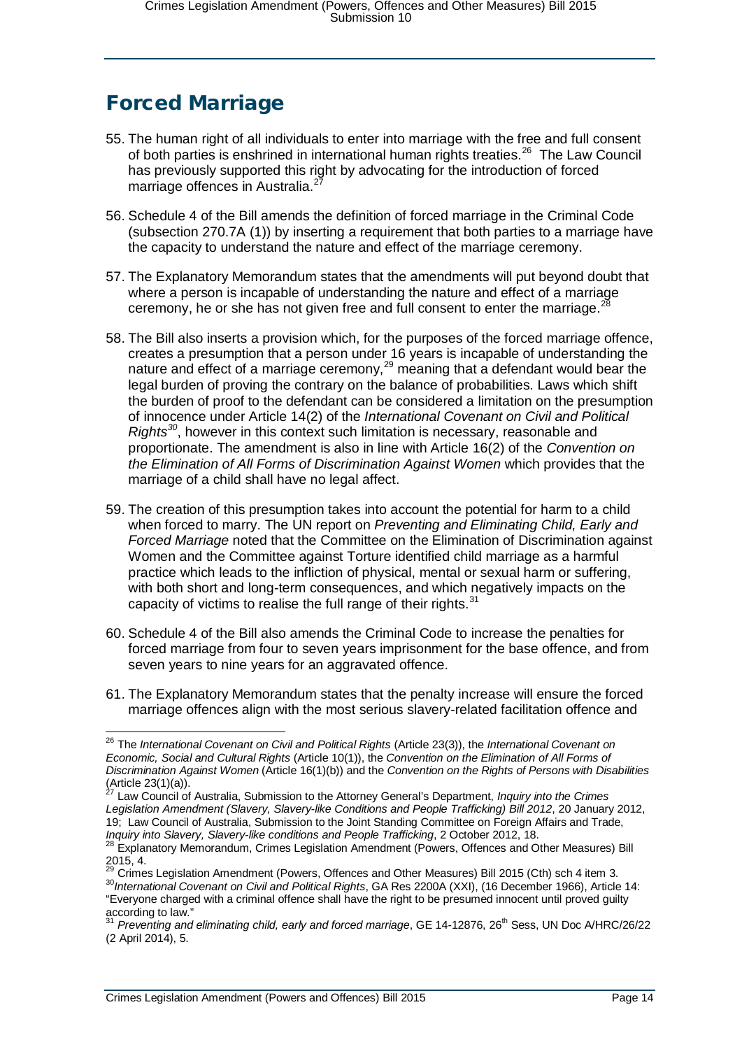# <span id="page-13-0"></span>Forced Marriage

- 55. The human right of all individuals to enter into marriage with the free and full consent of both parties is enshrined in international human rights treaties.<sup>26</sup> The Law Council has previously supported this right by advocating for the introduction of forced marriage offences in Australia.<sup>2</sup>
- 56. Schedule 4 of the Bill amends the definition of forced marriage in the Criminal Code (subsection 270.7A (1)) by inserting a requirement that both parties to a marriage have the capacity to understand the nature and effect of the marriage ceremony.
- 57. The Explanatory Memorandum states that the amendments will put beyond doubt that where a person is incapable of understanding the nature and effect of a marriage ceremony, he or she has not given free and full consent to enter the marriage.<sup>2</sup>
- 58. The Bill also inserts a provision which, for the purposes of the forced marriage offence, creates a presumption that a person under 16 years is incapable of understanding the nature and effect of a marriage ceremony, $^{29}$  $^{29}$  $^{29}$  meaning that a defendant would bear the legal burden of proving the contrary on the balance of probabilities. Laws which shift the burden of proof to the defendant can be considered a limitation on the presumption of innocence under Article 14(2) of the *International Covenant on Civil and Political Rights[30](#page-13-5)*, however in this context such limitation is necessary, reasonable and proportionate. The amendment is also in line with Article 16(2) of the *Convention on the Elimination of All Forms of Discrimination Against Women* which provides that the marriage of a child shall have no legal affect.
- 59. The creation of this presumption takes into account the potential for harm to a child when forced to marry. The UN report on *Preventing and Eliminating Child, Early and Forced Marriage* noted that the Committee on the Elimination of Discrimination against Women and the Committee against Torture identified child marriage as a harmful practice which leads to the infliction of physical, mental or sexual harm or suffering, with both short and long-term consequences, and which negatively impacts on the capacity of victims to realise the full range of their rights. $31$
- 60. Schedule 4 of the Bill also amends the Criminal Code to increase the penalties for forced marriage from four to seven years imprisonment for the base offence, and from seven years to nine years for an aggravated offence.
- 61. The Explanatory Memorandum states that the penalty increase will ensure the forced marriage offences align with the most serious slavery-related facilitation offence and

<span id="page-13-1"></span> <sup>26</sup> The *International Covenant on Civil and Political Rights* (Article 23(3)), the *International Covenant on Economic, Social and Cultural Rights* (Article 10(1)), the *Convention on the Elimination of All Forms of Discrimination Against Women* (Article 16(1)(b)) and the *Convention on the Rights of Persons with Disabilities*  $(Article 23(1)(a)).$ 

<span id="page-13-2"></span>Law Council of Australia, Submission to the Attorney General's Department, *Inquiry into the Crimes Legislation Amendment (Slavery, Slavery-like Conditions and People Trafficking) Bill 2012*, 20 January 2012, 19; Law Council of Australia, Submission to the Joint Standing Committee on Foreign Affairs and Trade,

*Inquiry into Slavery, Slavery-like conditions and People Trafficking*, 2 October 2012, 18.<br><sup>28</sup> Explanatory Memorandum, Crimes Legislation Amendment (Powers, Offences and Other Measures) Bill<br>2015, 4.<br>29 Cimes Legislation

<span id="page-13-5"></span><span id="page-13-4"></span><span id="page-13-3"></span><sup>&</sup>lt;sup>29</sup> Crimes Legislation Amendment (Powers, Offences and Other Measures) Bill 2015 (Cth) sch 4 item 3.<br><sup>30</sup>*International Covenant on Civil and Political Rights*, GA Res 2200A (XXI), (16 December 1966), Article 14: "Everyone charged with a criminal offence shall have the right to be presumed innocent until proved guilty

<span id="page-13-6"></span><sup>&</sup>lt;sup>31</sup> Preventing and eliminating child, early and forced marriage, GE 14-12876, 26<sup>th</sup> Sess, UN Doc A/HRC/26/22 (2 April 2014), 5.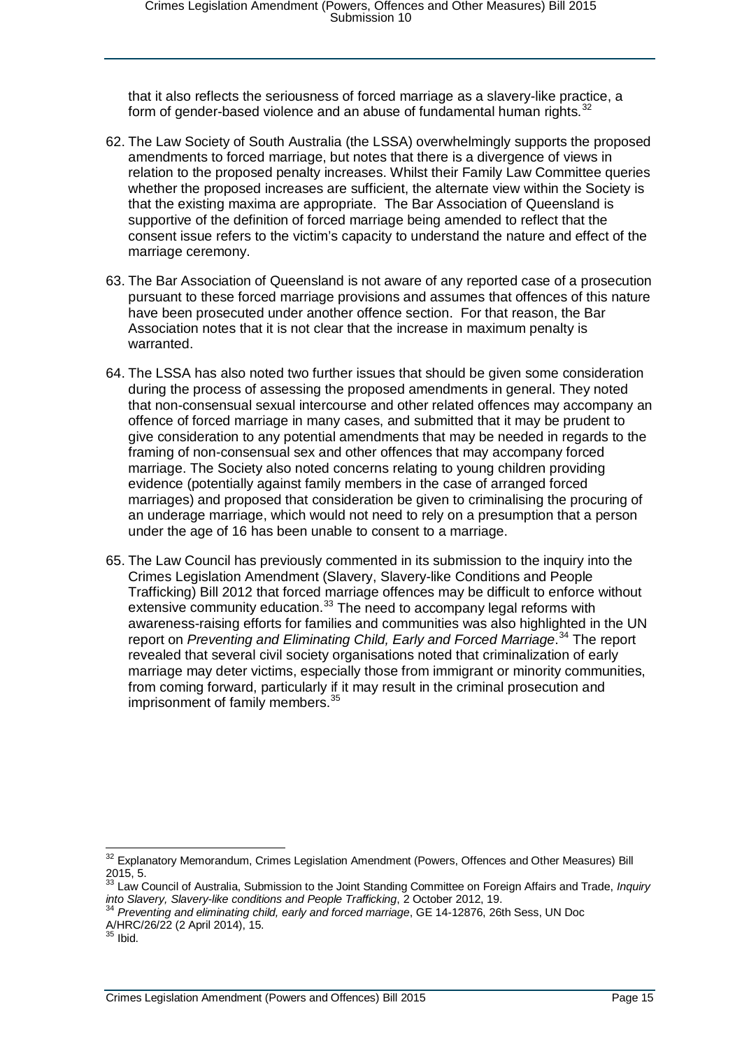that it also reflects the seriousness of forced marriage as a slavery-like practice, a form of gender-based violence and an abuse of fundamental human rights. $32$ 

- 62. The Law Society of South Australia (the LSSA) overwhelmingly supports the proposed amendments to forced marriage, but notes that there is a divergence of views in relation to the proposed penalty increases. Whilst their Family Law Committee queries whether the proposed increases are sufficient, the alternate view within the Society is that the existing maxima are appropriate. The Bar Association of Queensland is supportive of the definition of forced marriage being amended to reflect that the consent issue refers to the victim's capacity to understand the nature and effect of the marriage ceremony.
- 63. The Bar Association of Queensland is not aware of any reported case of a prosecution pursuant to these forced marriage provisions and assumes that offences of this nature have been prosecuted under another offence section. For that reason, the Bar Association notes that it is not clear that the increase in maximum penalty is warranted.
- 64. The LSSA has also noted two further issues that should be given some consideration during the process of assessing the proposed amendments in general. They noted that non-consensual sexual intercourse and other related offences may accompany an offence of forced marriage in many cases, and submitted that it may be prudent to give consideration to any potential amendments that may be needed in regards to the framing of non-consensual sex and other offences that may accompany forced marriage. The Society also noted concerns relating to young children providing evidence (potentially against family members in the case of arranged forced marriages) and proposed that consideration be given to criminalising the procuring of an underage marriage, which would not need to rely on a presumption that a person under the age of 16 has been unable to consent to a marriage.
- 65. The Law Council has previously commented in its submission to the inquiry into the Crimes Legislation Amendment (Slavery, Slavery-like Conditions and People Trafficking) Bill 2012 that forced marriage offences may be difficult to enforce without extensive community education. $^{33}$  $^{33}$  $^{33}$  The need to accompany legal reforms with awareness-raising efforts for families and communities was also highlighted in the UN report on *Preventing and Eliminating Child, Early and Forced Marriage*. [34](#page-14-2) The report revealed that several civil society organisations noted that criminalization of early marriage may deter victims, especially those from immigrant or minority communities, from coming forward, particularly if it may result in the criminal prosecution and imprisonment of family members.<sup>[35](#page-14-3)</sup>

<span id="page-14-0"></span><sup>&</sup>lt;sup>32</sup> Explanatory Memorandum, Crimes Legislation Amendment (Powers, Offences and Other Measures) Bill 2015, 5.

<span id="page-14-1"></span><sup>33</sup> Law Council of Australia, Submission to the Joint Standing Committee on Foreign Affairs and Trade, *Inquiry into Slavery, Slavery-like conditions and People Trafficking*, 2 October 2012, 19. <sup>34</sup> *Preventing and eliminating child, early and forced marriage*, GE 14-12876, 26th Sess, UN Doc

<span id="page-14-2"></span>A/HRC/26/22 (2 April 2014), 15.

<span id="page-14-3"></span> $35$  Ibid.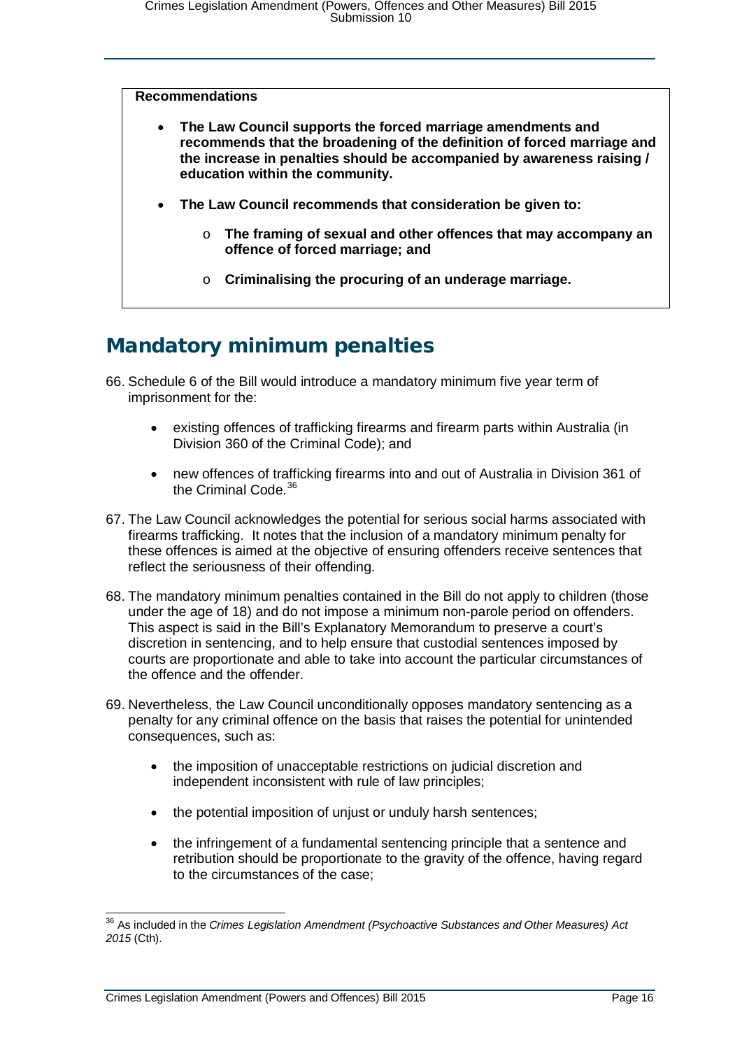#### **Recommendations**

- **The Law Council supports the forced marriage amendments and recommends that the broadening of the definition of forced marriage and the increase in penalties should be accompanied by awareness raising / education within the community.**
- **The Law Council recommends that consideration be given to:**
	- o **The framing of sexual and other offences that may accompany an offence of forced marriage; and**
	- o **Criminalising the procuring of an underage marriage.**

### <span id="page-15-0"></span>Mandatory minimum penalties

- 66. Schedule 6 of the Bill would introduce a mandatory minimum five year term of imprisonment for the:
	- existing offences of trafficking firearms and firearm parts within Australia (in Division 360 of the Criminal Code); and
	- new offences of trafficking firearms into and out of Australia in Division 361 of the Criminal Code.<sup>[36](#page-15-1)</sup>
- 67. The Law Council acknowledges the potential for serious social harms associated with firearms trafficking. It notes that the inclusion of a mandatory minimum penalty for these offences is aimed at the objective of ensuring offenders receive sentences that reflect the seriousness of their offending.
- 68. The mandatory minimum penalties contained in the Bill do not apply to children (those under the age of 18) and do not impose a minimum non-parole period on offenders. This aspect is said in the Bill's Explanatory Memorandum to preserve a court's discretion in sentencing, and to help ensure that custodial sentences imposed by courts are proportionate and able to take into account the particular circumstances of the offence and the offender.
- 69. Nevertheless, the Law Council unconditionally opposes mandatory sentencing as a penalty for any criminal offence on the basis that raises the potential for unintended consequences, such as:
	- the imposition of unacceptable restrictions on judicial discretion and independent inconsistent with rule of law principles;
	- the potential imposition of unjust or unduly harsh sentences;
	- the infringement of a fundamental sentencing principle that a sentence and retribution should be proportionate to the gravity of the offence, having regard to the circumstances of the case;

<span id="page-15-1"></span> <sup>36</sup> As included in the *Crimes Legislation Amendment (Psychoactive Substances and Other Measures) Act 2015* (Cth).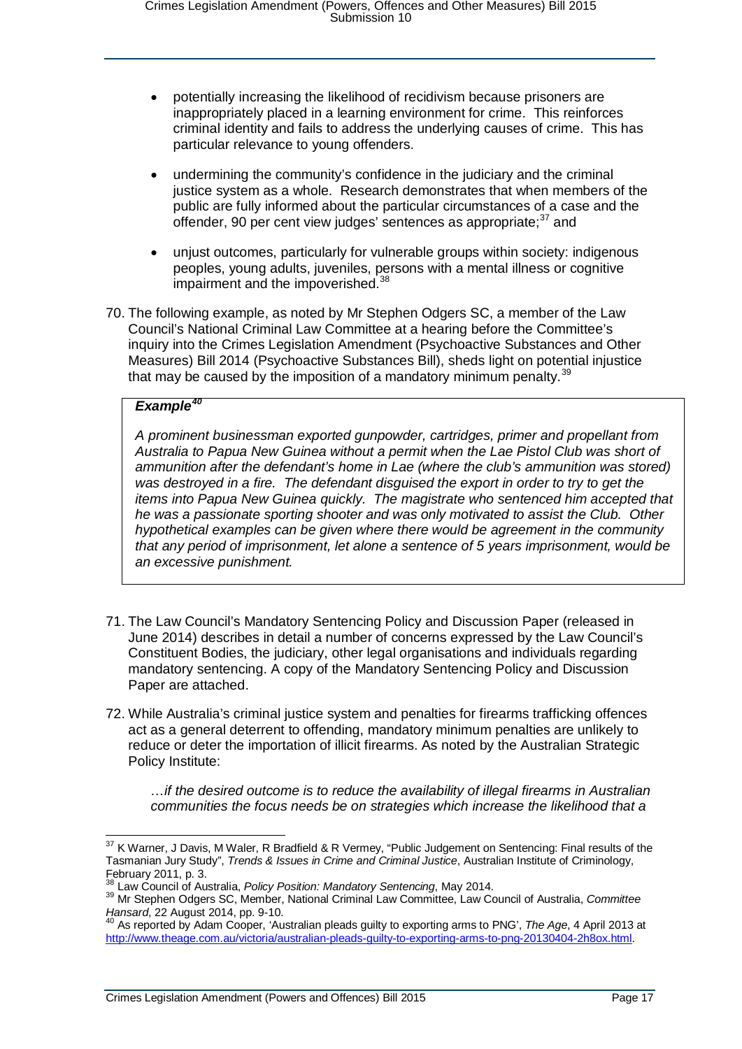- potentially increasing the likelihood of recidivism because prisoners are inappropriately placed in a learning environment for crime. This reinforces criminal identity and fails to address the underlying causes of crime. This has particular relevance to young offenders.
- undermining the community's confidence in the judiciary and the criminal justice system as a whole. Research demonstrates that when members of the public are fully informed about the particular circumstances of a case and the offender, 90 per cent view judges' sentences as appropriate; $37$  and
- unjust outcomes, particularly for vulnerable groups within society: indigenous peoples, young adults, juveniles, persons with a mental illness or cognitive impairment and the impoverished.<sup>[38](#page-16-1)</sup>
- 70. The following example, as noted by Mr Stephen Odgers SC, a member of the Law Council's National Criminal Law Committee at a hearing before the Committee's inquiry into the Crimes Legislation Amendment (Psychoactive Substances and Other Measures) Bill 2014 (Psychoactive Substances Bill), sheds light on potential injustice that may be caused by the imposition of a mandatory minimum penalty.<sup>[39](#page-16-2)</sup>

### *Example[40](#page-16-3)*

*A prominent businessman exported gunpowder, cartridges, primer and propellant from Australia to Papua New Guinea without a permit when the Lae Pistol Club was short of ammunition after the defendant's home in Lae (where the club's ammunition was stored) was destroyed in a fire. The defendant disguised the export in order to try to get the items into Papua New Guinea quickly. The magistrate who sentenced him accepted that he was a passionate sporting shooter and was only motivated to assist the Club. Other hypothetical examples can be given where there would be agreement in the community that any period of imprisonment, let alone a sentence of 5 years imprisonment, would be an excessive punishment.*

- 71. The Law Council's Mandatory Sentencing Policy and Discussion Paper (released in June 2014) describes in detail a number of concerns expressed by the Law Council's Constituent Bodies, the judiciary, other legal organisations and individuals regarding mandatory sentencing. A copy of the Mandatory Sentencing Policy and Discussion Paper are attached.
- 72. While Australia's criminal justice system and penalties for firearms trafficking offences act as a general deterrent to offending, mandatory minimum penalties are unlikely to reduce or deter the importation of illicit firearms. As noted by the Australian Strategic Policy Institute:

*…if the desired outcome is to reduce the availability of illegal firearms in Australian communities the focus needs be on strategies which increase the likelihood that a* 

<span id="page-16-0"></span><sup>&</sup>lt;sup>37</sup> K Warner, J Davis, M Waler, R Bradfield & R Vermey, "Public Judgement on Sentencing: Final results of the Tasmanian Jury Study", *Trends & Issues in Crime and Criminal Justice*, Australian Institute of Criminology, February 2011, p. 3.<br><sup>38</sup> Law Council of Australia. *Policy Position: Mandatory Sentencing*. May 2014.

<span id="page-16-2"></span><span id="page-16-1"></span><sup>38</sup> Law Council of Australia, *Policy Position: Mandatory Sentencing*, May 2014. <sup>39</sup> Mr Stephen Odgers SC, Member, National Criminal Law Committee, Law Council of Australia, *Committee Hansard*, 22 August 2014, pp. 9-10. <sup>40</sup> As reported by Adam Cooper, 'Australian pleads guilty to exporting arms to PNG', *The Age*, 4 April 2013 at

<span id="page-16-3"></span>[http://www.theage.com.au/victoria/australian-pleads-guilty-to-exporting-arms-to-png-20130404-2h8ox.html.](http://www.theage.com.au/victoria/australian-pleads-guilty-to-exporting-arms-to-png-20130404-2h8ox.html)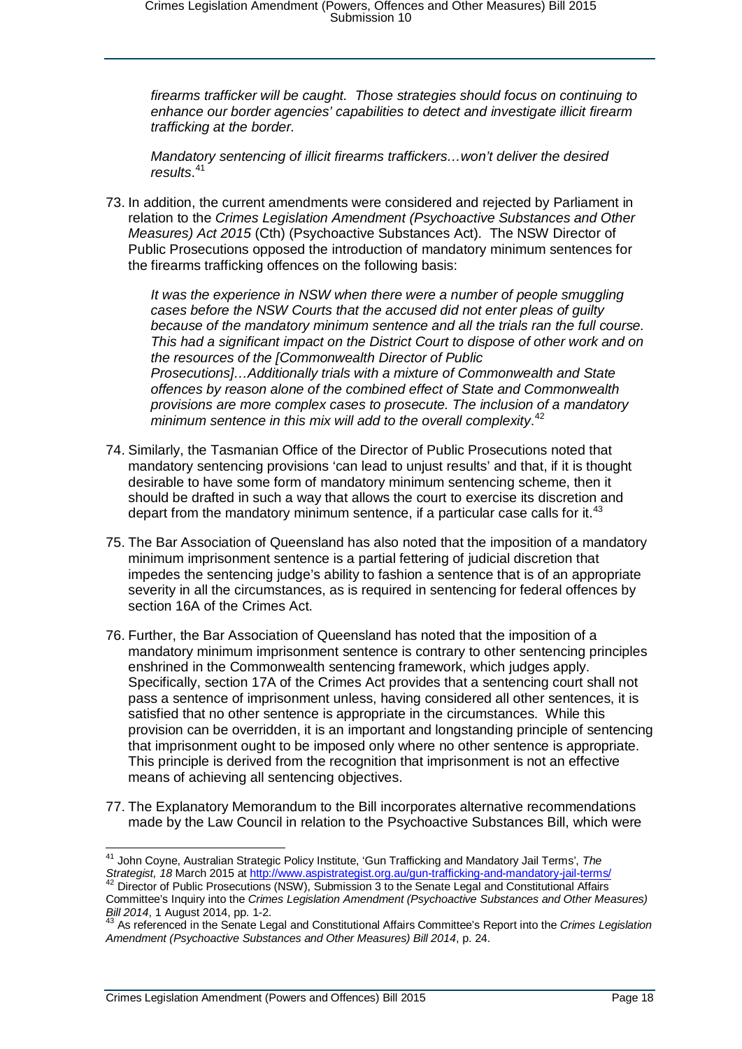*firearms trafficker will be caught. Those strategies should focus on continuing to enhance our border agencies' capabilities to detect and investigate illicit firearm trafficking at the border.*

*Mandatory sentencing of illicit firearms traffickers…won't deliver the desired results*. [41](#page-17-0)

73. In addition, the current amendments were considered and rejected by Parliament in relation to the *Crimes Legislation Amendment (Psychoactive Substances and Other Measures) Act 2015* (Cth) (Psychoactive Substances Act). The NSW Director of Public Prosecutions opposed the introduction of mandatory minimum sentences for the firearms trafficking offences on the following basis:

*It was the experience in NSW when there were a number of people smuggling cases before the NSW Courts that the accused did not enter pleas of guilty because of the mandatory minimum sentence and all the trials ran the full course. This had a significant impact on the District Court to dispose of other work and on the resources of the [Commonwealth Director of Public Prosecutions]…Additionally trials with a mixture of Commonwealth and State offences by reason alone of the combined effect of State and Commonwealth provisions are more complex cases to prosecute. The inclusion of a mandatory minimum sentence in this mix will add to the overall complexity*. [42](#page-17-1)

- 74. Similarly, the Tasmanian Office of the Director of Public Prosecutions noted that mandatory sentencing provisions 'can lead to unjust results' and that, if it is thought desirable to have some form of mandatory minimum sentencing scheme, then it should be drafted in such a way that allows the court to exercise its discretion and depart from the mandatory minimum sentence, if a particular case calls for it.<sup>[43](#page-17-2)</sup>
- 75. The Bar Association of Queensland has also noted that the imposition of a mandatory minimum imprisonment sentence is a partial fettering of judicial discretion that impedes the sentencing judge's ability to fashion a sentence that is of an appropriate severity in all the circumstances, as is required in sentencing for federal offences by section 16A of the Crimes Act.
- 76. Further, the Bar Association of Queensland has noted that the imposition of a mandatory minimum imprisonment sentence is contrary to other sentencing principles enshrined in the Commonwealth sentencing framework, which judges apply. Specifically, section 17A of the Crimes Act provides that a sentencing court shall not pass a sentence of imprisonment unless, having considered all other sentences, it is satisfied that no other sentence is appropriate in the circumstances. While this provision can be overridden, it is an important and longstanding principle of sentencing that imprisonment ought to be imposed only where no other sentence is appropriate. This principle is derived from the recognition that imprisonment is not an effective means of achieving all sentencing objectives.
- 77. The Explanatory Memorandum to the Bill incorporates alternative recommendations made by the Law Council in relation to the Psychoactive Substances Bill, which were

<span id="page-17-0"></span> <sup>41</sup> John Coyne, Australian Strategic Policy Institute, 'Gun Trafficking and Mandatory Jail Terms', *The Strategist, 18* March 2015 a[t http://www.aspistrategist.org.au/gun-trafficking-and-mandatory-jail-terms/](http://www.aspistrategist.org.au/gun-trafficking-and-mandatory-jail-terms/) <sup>42</sup> Director of Public Prosecutions (NSW), Submission 3 to the Senate Legal and Constitutional Affairs

<span id="page-17-1"></span>Committee's Inquiry into the *Crimes Legislation Amendment (Psychoactive Substances and Other Measures)* 

<span id="page-17-2"></span>*Bill 2014*, 1 August 2014, pp. 1-2.<br><sup>43</sup> As referenced in the Senate Legal and Constitutional Affairs Committee's Report into the *Crimes Legislation Amendment (Psychoactive Substances and Other Measures) Bill 2014*, p. 24.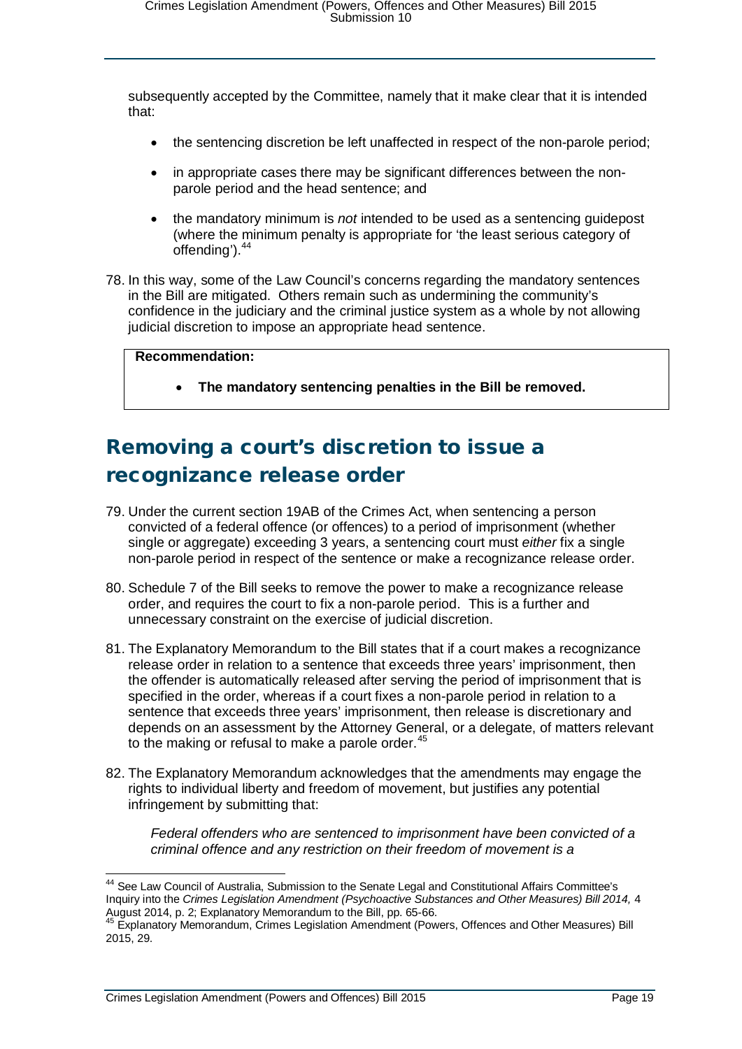subsequently accepted by the Committee, namely that it make clear that it is intended that:

- the sentencing discretion be left unaffected in respect of the non-parole period;
- in appropriate cases there may be significant differences between the nonparole period and the head sentence; and
- the mandatory minimum is *not* intended to be used as a sentencing guidepost (where the minimum penalty is appropriate for 'the least serious category of offending').<sup>[44](#page-18-1)</sup>
- 78. In this way, some of the Law Council's concerns regarding the mandatory sentences in the Bill are mitigated. Others remain such as undermining the community's confidence in the judiciary and the criminal justice system as a whole by not allowing judicial discretion to impose an appropriate head sentence.

#### **Recommendation:**

• **The mandatory sentencing penalties in the Bill be removed.**

# <span id="page-18-0"></span>Removing a court's discretion to issue a recognizance release order

- 79. Under the current section 19AB of the Crimes Act, when sentencing a person convicted of a federal offence (or offences) to a period of imprisonment (whether single or aggregate) exceeding 3 years, a sentencing court must *either* fix a single non-parole period in respect of the sentence or make a recognizance release order.
- 80. Schedule 7 of the Bill seeks to remove the power to make a recognizance release order, and requires the court to fix a non-parole period. This is a further and unnecessary constraint on the exercise of judicial discretion.
- 81. The Explanatory Memorandum to the Bill states that if a court makes a recognizance release order in relation to a sentence that exceeds three years' imprisonment, then the offender is automatically released after serving the period of imprisonment that is specified in the order, whereas if a court fixes a non-parole period in relation to a sentence that exceeds three years' imprisonment, then release is discretionary and depends on an assessment by the Attorney General, or a delegate, of matters relevant to the making or refusal to make a parole order.<sup>[45](#page-18-2)</sup>
- 82. The Explanatory Memorandum acknowledges that the amendments may engage the rights to individual liberty and freedom of movement, but justifies any potential infringement by submitting that:

*Federal offenders who are sentenced to imprisonment have been convicted of a criminal offence and any restriction on their freedom of movement is a* 

<span id="page-18-1"></span> <sup>44</sup> See Law Council of Australia, Submission to the Senate Legal and Constitutional Affairs Committee's Inquiry into the *Crimes Legislation Amendment (Psychoactive Substances and Other Measures) Bill 2014,* 4 August 2014, p. 2; Explanatory Memorandum to the Bill, pp. 65-66.<br>45 Explanatory Memorandum, Crimes Legislation Amendment (Powers, Offences and Other Measures) Bill

<span id="page-18-2"></span><sup>2015, 29.</sup>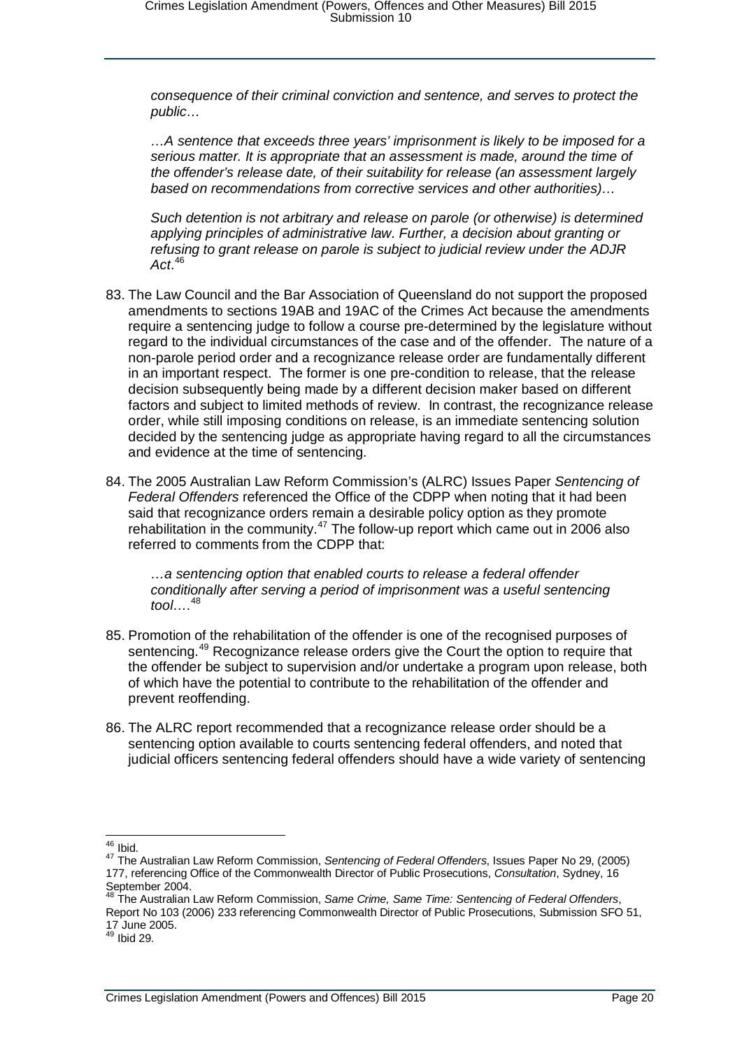*consequence of their criminal conviction and sentence, and serves to protect the public…*

*…A sentence that exceeds three years' imprisonment is likely to be imposed for a serious matter. It is appropriate that an assessment is made, around the time of the offender's release date, of their suitability for release (an assessment largely based on recommendations from corrective services and other authorities)…*

*Such detention is not arbitrary and release on parole (or otherwise) is determined applying principles of administrative law. Further, a decision about granting or refusing to grant release on parole is subject to judicial review under the ADJR Act*. [46](#page-19-0)

- 83. The Law Council and the Bar Association of Queensland do not support the proposed amendments to sections 19AB and 19AC of the Crimes Act because the amendments require a sentencing judge to follow a course pre-determined by the legislature without regard to the individual circumstances of the case and of the offender. The nature of a non-parole period order and a recognizance release order are fundamentally different in an important respect. The former is one pre-condition to release, that the release decision subsequently being made by a different decision maker based on different factors and subject to limited methods of review. In contrast, the recognizance release order, while still imposing conditions on release, is an immediate sentencing solution decided by the sentencing judge as appropriate having regard to all the circumstances and evidence at the time of sentencing.
- 84. The 2005 Australian Law Reform Commission's (ALRC) Issues Paper *Sentencing of Federal Offenders* referenced the Office of the CDPP when noting that it had been said that recognizance orders remain a desirable policy option as they promote rehabilitation in the community.<sup>[47](#page-19-1)</sup> The follow-up report which came out in 2006 also referred to comments from the CDPP that:

*…a sentencing option that enabled courts to release a federal offender conditionally after serving a period of imprisonment was a useful sentencing tool…*. [48](#page-19-2)

- 85. Promotion of the rehabilitation of the offender is one of the recognised purposes of sentencing.<sup>[49](#page-19-3)</sup> Recognizance release orders give the Court the option to require that the offender be subject to supervision and/or undertake a program upon release, both of which have the potential to contribute to the rehabilitation of the offender and prevent reoffending.
- 86. The ALRC report recommended that a recognizance release order should be a sentencing option available to courts sentencing federal offenders, and noted that judicial officers sentencing federal offenders should have a wide variety of sentencing

<span id="page-19-1"></span><span id="page-19-0"></span><sup>46</sup> Ibid. <sup>47</sup> The Australian Law Reform Commission, *Sentencing of Federal Offenders*, Issues Paper No 29, (2005) 177, referencing Office of the Commonwealth Director of Public Prosecutions, *Consultation*, Sydney, 16 September 2004.

<span id="page-19-2"></span><sup>48</sup> The Australian Law Reform Commission, *Same Crime, Same Time: Sentencing of Federal Offenders*, Report No 103 (2006) 233 referencing Commonwealth Director of Public Prosecutions, Submission SFO 51, 17 June 2005.

<span id="page-19-3"></span><sup>&</sup>lt;sup>49</sup> Ibid 29.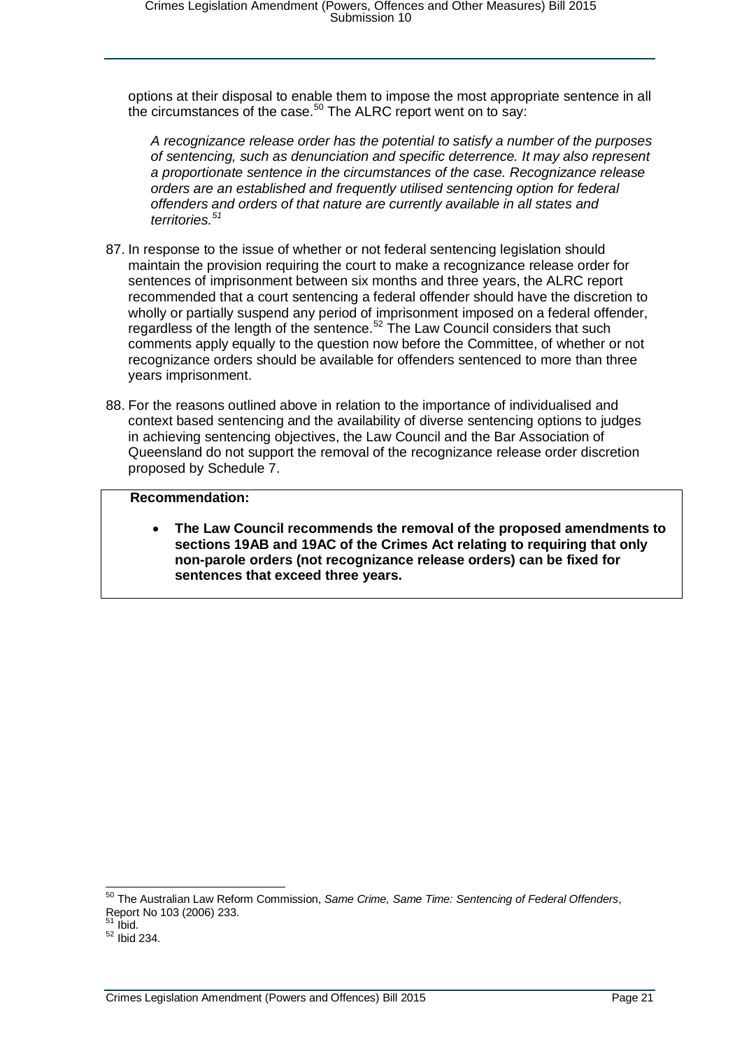options at their disposal to enable them to impose the most appropriate sentence in all the circumstances of the case. $50$  The ALRC report went on to say:

*A recognizance release order has the potential to satisfy a number of the purposes of sentencing, such as denunciation and specific deterrence. It may also represent a proportionate sentence in the circumstances of the case. Recognizance release orders are an established and frequently utilised sentencing option for federal offenders and orders of that nature are currently available in all states and territories.[51](#page-20-1)*

- 87. In response to the issue of whether or not federal sentencing legislation should maintain the provision requiring the court to make a recognizance release order for sentences of imprisonment between six months and three years, the ALRC report recommended that a court sentencing a federal offender should have the discretion to wholly or partially suspend any period of imprisonment imposed on a federal offender, regardless of the length of the sentence.<sup>[52](#page-20-2)</sup> The Law Council considers that such comments apply equally to the question now before the Committee, of whether or not recognizance orders should be available for offenders sentenced to more than three years imprisonment.
- 88. For the reasons outlined above in relation to the importance of individualised and context based sentencing and the availability of diverse sentencing options to judges in achieving sentencing objectives, the Law Council and the Bar Association of Queensland do not support the removal of the recognizance release order discretion proposed by Schedule 7.

#### **Recommendation:**

• **The Law Council recommends the removal of the proposed amendments to sections 19AB and 19AC of the Crimes Act relating to requiring that only non-parole orders (not recognizance release orders) can be fixed for sentences that exceed three years.**

<span id="page-20-0"></span> <sup>50</sup> The Australian Law Reform Commission, *Same Crime, Same Time: Sentencing of Federal Offenders*, Report No 103 (2006) 233.<br><sup>51</sup> Ibid.

<span id="page-20-1"></span>

<span id="page-20-2"></span> $52$  Ibid 234.